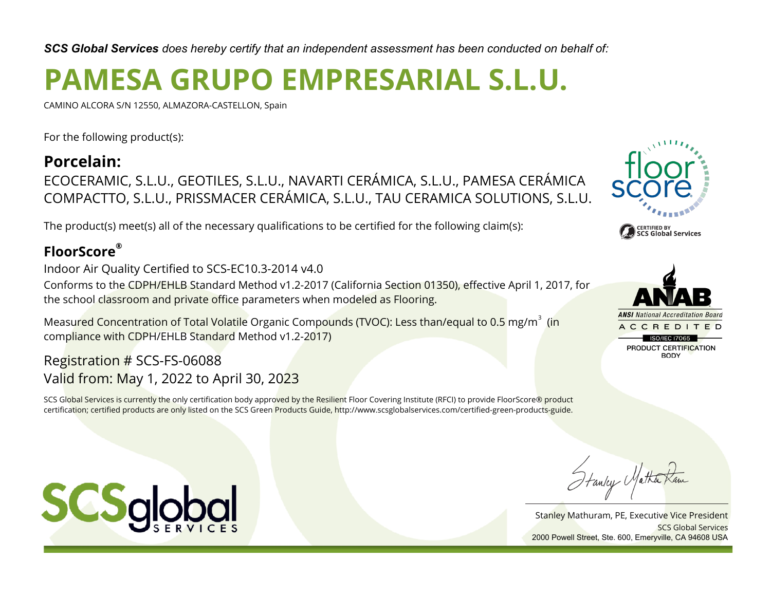*SCS Global Services does hereby certify that an independent assessment has been conducted on behalf of:*

# **PAMESA GRUPO EMPRESARIAL S.L.U.**

CAMINO ALCORA S/N 12550, ALMAZORA-CASTELLON, Spain

For the following product(s):

# **Porcelain:** ECOCERAMIC, S.L.U., GEOTILES, S.L.U., NAVARTI CERÁMICA, S.L.U., PAMESA CERÁMICA COMPACTTO, S.L.U., PRISSMACER CERÁMICA, S.L.U., TAU CERAMICA SOLUTIONS, S.L.U.

The product(s) meet(s) all of the necessary qualifications to be certified for the following claim(s):

# **FloorScore®**

Indoor Air Quality Certified to SCS-EC10.3-2014 v4.0

Conforms to the CDPH/EHLB Standard Method v1.2-2017 (California Section 01350), effective April 1, 2017, for the school classroom and private office parameters when modeled as Flooring.

Measured Concentration of Total Volatile Organic Compounds (TVOC): Less than/equal to 0.5 mg/m $^3\,$  (in compliance with CDPH/EHLB Standard Method v1.2-2017)

# Registration # SCS-FS-06088 Valid from: May 1, 2022 to April 30, 2023

SCS Global Services is currently the only certification body approved by the Resilient Floor Covering Institute (RFCI) to provide FloorScore® product certification; certified products are only listed on the SCS Green Products Guide, http://www.scsglobalservices.com/certified-green-products-guide.





Stanley Matha

Stanley Mathuram, PE, Executive Vice President SCS Global Services 2000 Powell Street, Ste. 600, Emeryville, CA 94608 USA

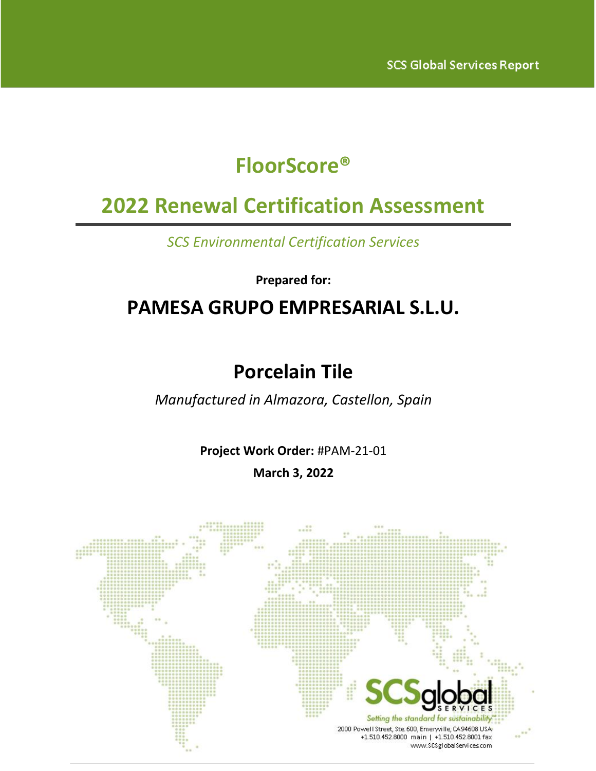# **FloorScore®**

# **2022 Renewal Certification Assessment**

*SCS Environmental Certification Services*

**Prepared for:**

# **PAMESA GRUPO EMPRESARIAL S.L.U.**

# **Porcelain Tile**

*Manufactured in Almazora, Castellon, Spain*

**Project Work Order:** #PAM-21-01

**March 3, 2022**

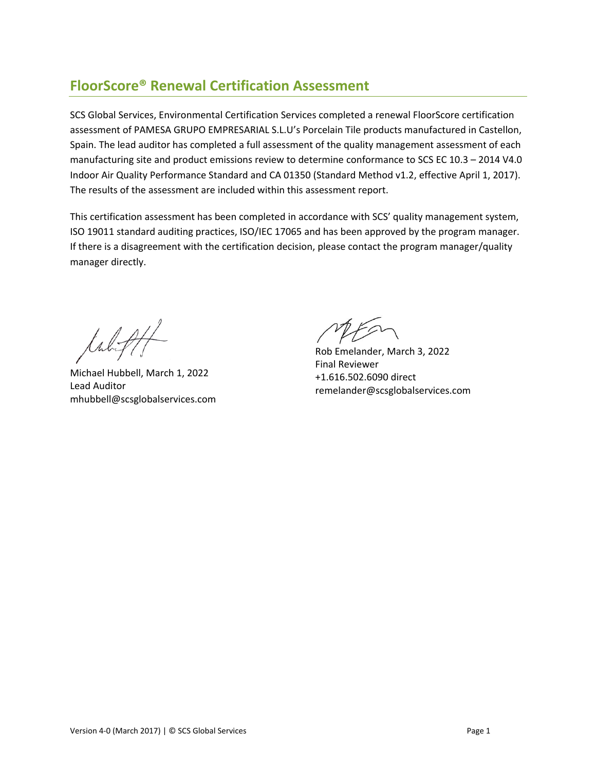# **FloorScore® Renewal Certification Assessment**

SCS Global Services, Environmental Certification Services completed a renewal FloorScore certification assessment of PAMESA GRUPO EMPRESARIAL S.L.U's Porcelain Tile products manufactured in Castellon, Spain. The lead auditor has completed a full assessment of the quality management assessment of each manufacturing site and product emissions review to determine conformance to SCS EC 10.3 – 2014 V4.0 Indoor Air Quality Performance Standard and CA 01350 (Standard Method v1.2, effective April 1, 2017). The results of the assessment are included within this assessment report.

This certification assessment has been completed in accordance with SCS' quality management system, ISO 19011 standard auditing practices, ISO/IEC 17065 and has been approved by the program manager. If there is a disagreement with the certification decision, please contact the program manager/quality manager directly.

tabifff

Michael Hubbell, March 1, 2022 Lead Auditor mhubbell@scsglobalservices.com

Rob Emelander, March 3, 2022 Final Reviewer +1.616.502.6090 direct remelander@scsglobalservices.com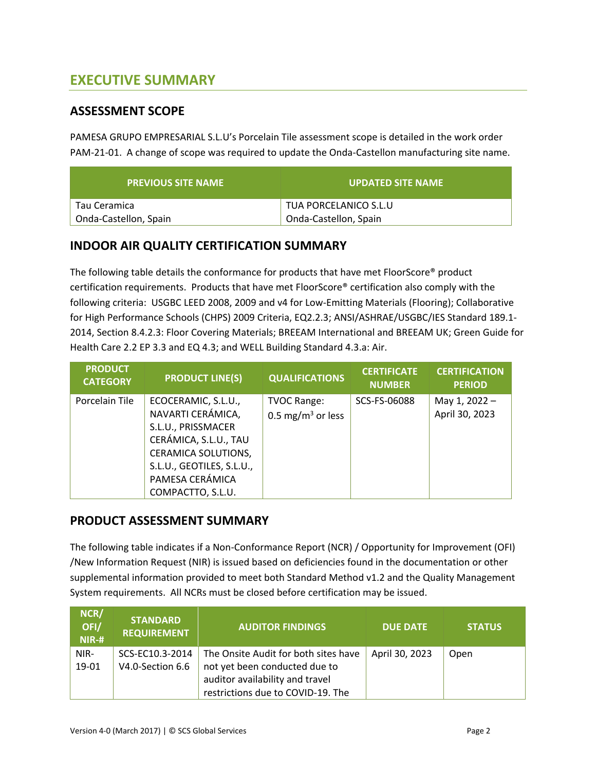# **EXECUTIVE SUMMARY**

#### **ASSESSMENT SCOPE**

PAMESA GRUPO EMPRESARIAL S.L.U's Porcelain Tile assessment scope is detailed in the work order PAM-21-01. A change of scope was required to update the Onda-Castellon manufacturing site name.

| <b>PREVIOUS SITE NAME</b> | <b>UPDATED SITE NAME</b> |
|---------------------------|--------------------------|
| Tau Ceramica              | TUA PORCELANICO S.L.U    |
| Onda-Castellon, Spain     | Onda-Castellon, Spain    |

#### **INDOOR AIR QUALITY CERTIFICATION SUMMARY**

The following table details the conformance for products that have met FloorScore® product certification requirements. Products that have met FloorScore® certification also comply with the following criteria: USGBC LEED 2008, 2009 and v4 for Low-Emitting Materials (Flooring); Collaborative for High Performance Schools (CHPS) 2009 Criteria, EQ2.2.3; ANSI/ASHRAE/USGBC/IES Standard 189.1- 2014, Section 8.4.2.3: Floor Covering Materials; BREEAM International and BREEAM UK; Green Guide for Health Care 2.2 EP 3.3 and EQ 4.3; and WELL Building Standard 4.3.a: Air.

| <b>PRODUCT</b><br><b>CATEGORY</b> | <b>PRODUCT LINE(S)</b>                                                                                                                                                              | <b>QUALIFICATIONS</b>                               | <b>CERTIFICATE</b><br><b>NUMBER</b> | <b>CERTIFICATION</b><br><b>PERIOD</b> |
|-----------------------------------|-------------------------------------------------------------------------------------------------------------------------------------------------------------------------------------|-----------------------------------------------------|-------------------------------------|---------------------------------------|
| Porcelain Tile                    | ECOCERAMIC, S.L.U.,<br>NAVARTI CERÁMICA,<br>S.L.U., PRISSMACER<br>CERÁMICA, S.L.U., TAU<br>CERAMICA SOLUTIONS,<br>S.L.U., GEOTILES, S.L.U.,<br>PAMESA CERÁMICA<br>COMPACTTO, S.L.U. | <b>TVOC Range:</b><br>0.5 mg/m <sup>3</sup> or less | SCS-FS-06088                        | May 1, 2022 -<br>April 30, 2023       |

#### **PRODUCT ASSESSMENT SUMMARY**

The following table indicates if a Non-Conformance Report (NCR) / Opportunity for Improvement (OFI) /New Information Request (NIR) is issued based on deficiencies found in the documentation or other supplemental information provided to meet both Standard Method v1.2 and the Quality Management System requirements. All NCRs must be closed before certification may be issued.

| NCR/<br>OFI/<br>$NIR-H$ | <b>STANDARD</b><br><b>REQUIREMENT</b> | <b>AUDITOR FINDINGS</b>              | <b>DUE DATE</b> | <b>STATUS</b> |
|-------------------------|---------------------------------------|--------------------------------------|-----------------|---------------|
| NIR-                    | SCS-EC10.3-2014                       | The Onsite Audit for both sites have | April 30, 2023  | Open          |
| 19-01                   | V4.0-Section 6.6                      | not yet been conducted due to        |                 |               |
|                         |                                       | auditor availability and travel      |                 |               |
|                         |                                       | restrictions due to COVID-19. The    |                 |               |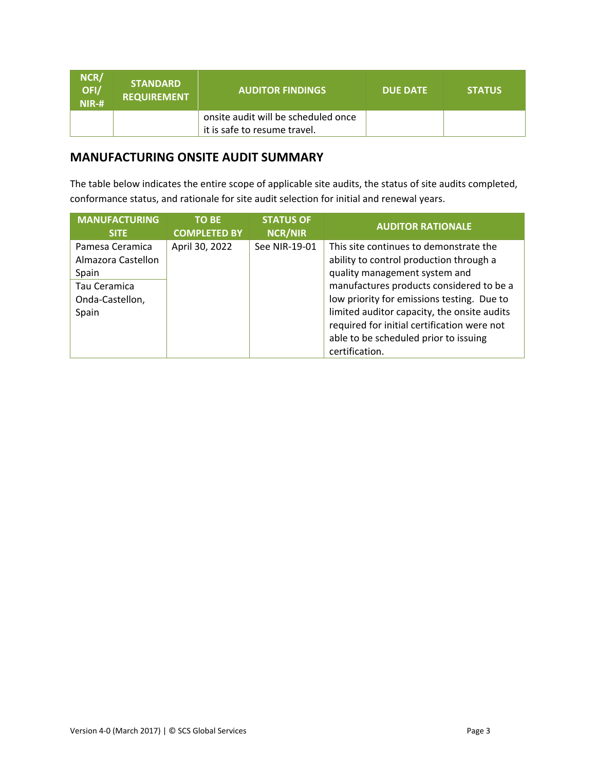| NCR/<br>OFI/<br>$NIR-#$ | <b>STANDARD</b><br><b>REQUIREMENT</b> | <b>AUDITOR FINDINGS</b>             | <b>DUE DATE</b> | <b>STATUS</b> |
|-------------------------|---------------------------------------|-------------------------------------|-----------------|---------------|
|                         |                                       | onsite audit will be scheduled once |                 |               |
|                         |                                       | it is safe to resume travel.        |                 |               |

### **MANUFACTURING ONSITE AUDIT SUMMARY**

The table below indicates the entire scope of applicable site audits, the status of site audits completed, conformance status, and rationale for site audit selection for initial and renewal years.

| <b>MANUFACTURING</b>                                                                       | <b>TO BE</b>        | <b>STATUS OF</b> | <b>AUDITOR RATIONALE</b>                                                                                                                                                                                                                                                                                                                                              |
|--------------------------------------------------------------------------------------------|---------------------|------------------|-----------------------------------------------------------------------------------------------------------------------------------------------------------------------------------------------------------------------------------------------------------------------------------------------------------------------------------------------------------------------|
| <b>SITE</b>                                                                                | <b>COMPLETED BY</b> | <b>NCR/NIR</b>   |                                                                                                                                                                                                                                                                                                                                                                       |
| Pamesa Ceramica<br>Almazora Castellon<br>Spain<br>Tau Ceramica<br>Onda-Castellon,<br>Spain | April 30, 2022      | See NIR-19-01    | This site continues to demonstrate the<br>ability to control production through a<br>quality management system and<br>manufactures products considered to be a<br>low priority for emissions testing. Due to<br>limited auditor capacity, the onsite audits<br>required for initial certification were not<br>able to be scheduled prior to issuing<br>certification. |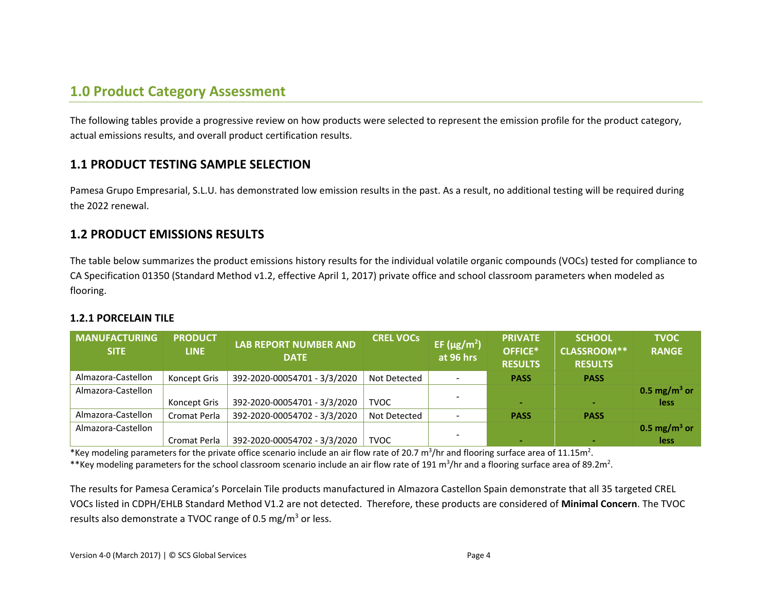### **1.0 Product Category Assessment**

The following tables provide a progressive review on how products were selected to represent the emission profile for the product category, actual emissions results, and overall product certification results.

#### **1.1 PRODUCT TESTING SAMPLE SELECTION**

Pamesa Grupo Empresarial, S.L.U. has demonstrated low emission results in the past. As a result, no additional testing will be required during the 2022 renewal.

#### **1.2 PRODUCT EMISSIONS RESULTS**

The table below summarizes the product emissions history results for the individual volatile organic compounds (VOCs) tested for compliance to CA Specification 01350 (Standard Method v1.2, effective April 1, 2017) private office and school classroom parameters when modeled as flooring.

#### **1.2.1 PORCELAIN TILE**

| MANUFACTURING<br><b>SITE</b> | <b>PRODUCT</b><br><b>LINE</b> | <b>LAB REPORT NUMBER AND</b><br><b>DATE</b> | <b>CREL VOCs</b> | EF ( $\mu$ g/m <sup>2</sup> )<br>at 96 hrs | <b>PRIVATE</b><br>OFFICE*<br><b>RESULTS</b> | <b>SCHOOL</b><br><b>CLASSROOM**</b><br><b>RESULTS</b> | <b>TVOC</b><br><b>RANGE</b> |
|------------------------------|-------------------------------|---------------------------------------------|------------------|--------------------------------------------|---------------------------------------------|-------------------------------------------------------|-----------------------------|
| Almazora-Castellon           | Koncept Gris                  | 392-2020-00054701 - 3/3/2020                | Not Detected     | $\overline{\phantom{a}}$                   | <b>PASS</b>                                 | <b>PASS</b>                                           |                             |
| Almazora-Castellon           |                               |                                             |                  |                                            |                                             |                                                       | 0.5 mg/m <sup>3</sup> or    |
|                              | Koncept Gris                  | 392-2020-00054701 - 3/3/2020                | <b>TVOC</b>      |                                            |                                             |                                                       | less                        |
| Almazora-Castellon           | Cromat Perla                  | 392-2020-00054702 - 3/3/2020                | Not Detected     |                                            | <b>PASS</b>                                 | <b>PASS</b>                                           |                             |
| Almazora-Castellon           |                               |                                             |                  |                                            |                                             |                                                       | 0.5 mg/m <sup>3</sup> or    |
|                              | Cromat Perla                  | 392-2020-00054702 - 3/3/2020                | <b>TVOC</b>      |                                            |                                             |                                                       | less                        |

\*Key modeling parameters for the private office scenario include an air flow rate of 20.7 m<sup>3</sup>/hr and flooring surface area of 11.15m<sup>2</sup>.

\*\*Key modeling parameters for the school classroom scenario include an air flow rate of 191 m<sup>3</sup>/hr and a flooring surface area of 89.2m<sup>2</sup>.

The results for Pamesa Ceramica's Porcelain Tile products manufactured in Almazora Castellon Spain demonstrate that all 35 targeted CREL VOCs listed in CDPH/EHLB Standard Method V1.2 are not detected. Therefore, these products are considered of **Minimal Concern**. The TVOC results also demonstrate a TVOC range of 0.5 mg/ $m<sup>3</sup>$  or less.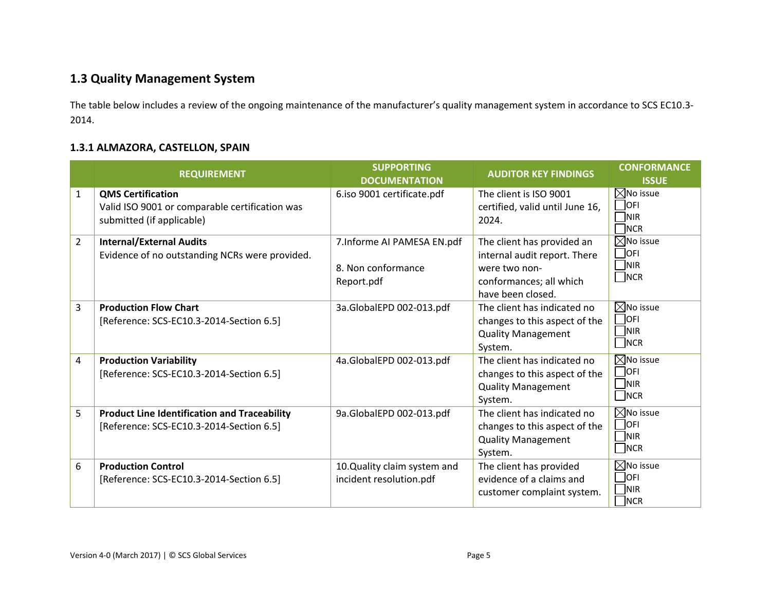### **1.3 Quality Management System**

The table below includes a review of the ongoing maintenance of the manufacturer's quality management system in accordance to SCS EC10.3- 2014.

#### **1.3.1 ALMAZORA, CASTELLON, SPAIN**

|                | <b>REQUIREMENT</b>                                                                                      | <b>SUPPORTING</b><br><b>DOCUMENTATION</b>                       | <b>AUDITOR KEY FINDINGS</b>                                                                                                 | <b>CONFORMANCE</b><br><b>ISSUE</b>                                                      |
|----------------|---------------------------------------------------------------------------------------------------------|-----------------------------------------------------------------|-----------------------------------------------------------------------------------------------------------------------------|-----------------------------------------------------------------------------------------|
| $\mathbf{1}$   | <b>QMS Certification</b><br>Valid ISO 9001 or comparable certification was<br>submitted (if applicable) | 6.iso 9001 certificate.pdf                                      | The client is ISO 9001<br>certified, valid until June 16,<br>2024.                                                          | $\boxtimes$ No issue<br>$\bigcap$ OFI<br><b>NIR</b><br>$\neg$ <sub>NCR</sub>            |
| $\overline{2}$ | <b>Internal/External Audits</b><br>Evidence of no outstanding NCRs were provided.                       | 7. Informe AI PAMESA EN.pdf<br>8. Non conformance<br>Report.pdf | The client has provided an<br>internal audit report. There<br>were two non-<br>conformances; all which<br>have been closed. | $\boxtimes$ No issue<br><b>OFI</b><br>$\neg$ <sub>NIR</sub><br>$\Box$ NCR               |
| 3              | <b>Production Flow Chart</b><br>[Reference: SCS-EC10.3-2014-Section 6.5]                                | 3a.GlobalEPD 002-013.pdf                                        | The client has indicated no<br>changes to this aspect of the<br><b>Quality Management</b><br>System.                        | $\boxtimes$ No issue<br>$\overline{)}$ OFI<br><b>NIR</b><br>$\neg$ NCR                  |
| 4              | <b>Production Variability</b><br>[Reference: SCS-EC10.3-2014-Section 6.5]                               | 4a.GlobalEPD 002-013.pdf                                        | The client has indicated no<br>changes to this aspect of the<br><b>Quality Management</b><br>System.                        | $\boxtimes$ No issue<br>$\Box$ OFI<br><b>NIR</b><br>$\neg$ <sub>NCR</sub>               |
| 5              | <b>Product Line Identification and Traceability</b><br>[Reference: SCS-EC10.3-2014-Section 6.5]         | 9a.GlobalEPD 002-013.pdf                                        | The client has indicated no<br>changes to this aspect of the<br><b>Quality Management</b><br>System.                        | $\boxtimes$ No issue<br>$\bigcap$ OFI<br>$\neg$ <sub>NIR</sub><br>$\neg$ <sub>NCR</sub> |
| 6              | <b>Production Control</b><br>[Reference: SCS-EC10.3-2014-Section 6.5]                                   | 10.Quality claim system and<br>incident resolution.pdf          | The client has provided<br>evidence of a claims and<br>customer complaint system.                                           | $\boxtimes$ No issue<br><b>OFI</b><br>]nir<br>$\neg$ <sub>NCR</sub>                     |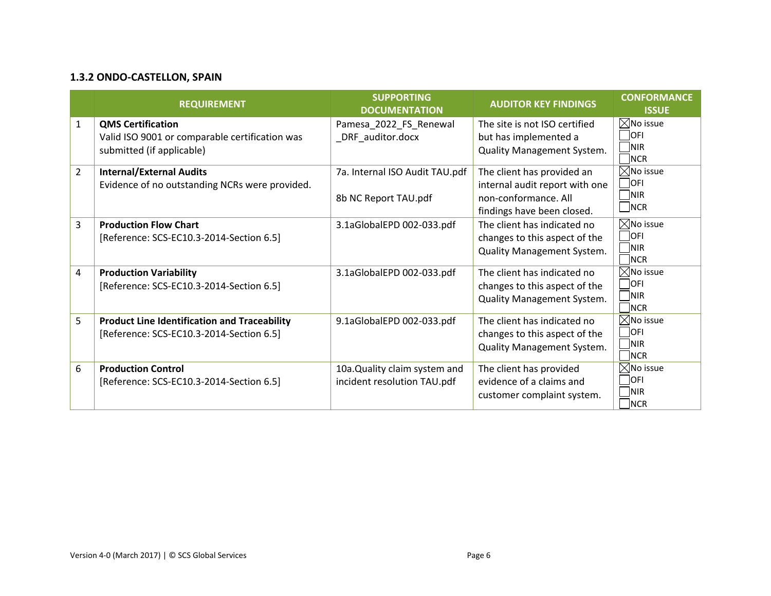#### **1.3.2 ONDO-CASTELLON, SPAIN**

| <b>REQUIREMENT</b> |                                                     | <b>SUPPORTING</b><br><b>DOCUMENTATION</b> | <b>AUDITOR KEY FINDINGS</b>       | <b>CONFORMANCE</b><br><b>ISSUE</b> |
|--------------------|-----------------------------------------------------|-------------------------------------------|-----------------------------------|------------------------------------|
| $\mathbf{1}$       | <b>QMS Certification</b>                            | Pamesa_2022_FS_Renewal                    | The site is not ISO certified     | $\boxtimes$ No issue               |
|                    | Valid ISO 9001 or comparable certification was      | _DRF_auditor.docx                         | but has implemented a             | $\Box$ ofi                         |
|                    | submitted (if applicable)                           |                                           | Quality Management System.        | <b>NIR</b><br>$\Box$ NCR           |
| $\overline{2}$     | <b>Internal/External Audits</b>                     | 7a. Internal ISO Audit TAU.pdf            | The client has provided an        | $\boxtimes$ No issue               |
|                    | Evidence of no outstanding NCRs were provided.      |                                           | internal audit report with one    | $\bigcap$ OFI                      |
|                    |                                                     | 8b NC Report TAU.pdf                      | non-conformance. All              | $\neg$ NIR                         |
|                    |                                                     |                                           | findings have been closed.        | $\Box$ NCR                         |
| 3                  | <b>Production Flow Chart</b>                        | 3.1aGlobalEPD 002-033.pdf                 | The client has indicated no       | $\boxtimes$ No issue               |
|                    | [Reference: SCS-EC10.3-2014-Section 6.5]            |                                           | changes to this aspect of the     | $\Box$ ofi                         |
|                    |                                                     |                                           | Quality Management System.        | $\n  INIR\n$<br>$\Box$ NCR         |
| 4                  | <b>Production Variability</b>                       | 3.1aGlobalEPD 002-033.pdf                 | The client has indicated no       | $\boxtimes$ No issue               |
|                    | [Reference: SCS-EC10.3-2014-Section 6.5]            |                                           | changes to this aspect of the     | $\Box$ OFI                         |
|                    |                                                     |                                           | <b>Quality Management System.</b> | $\n  NIR\n$<br>$\Box$ NCR          |
| 5                  | <b>Product Line Identification and Traceability</b> | 9.1aGlobalEPD 002-033.pdf                 | The client has indicated no       | $\boxtimes$ No issue               |
|                    | [Reference: SCS-EC10.3-2014-Section 6.5]            |                                           | changes to this aspect of the     | $\Box$ ofi                         |
|                    |                                                     |                                           | Quality Management System.        | $\n  NIR\n$                        |
|                    |                                                     |                                           |                                   | $\Box$ NCR                         |
| 6                  | <b>Production Control</b>                           | 10a. Quality claim system and             | The client has provided           | $\boxtimes$ No issue               |
|                    | [Reference: SCS-EC10.3-2014-Section 6.5]            | incident resolution TAU.pdf               | evidence of a claims and          | <b>OFI</b>                         |
|                    |                                                     |                                           | customer complaint system.        | <b>NIR</b><br><b>NCR</b>           |
|                    |                                                     |                                           |                                   |                                    |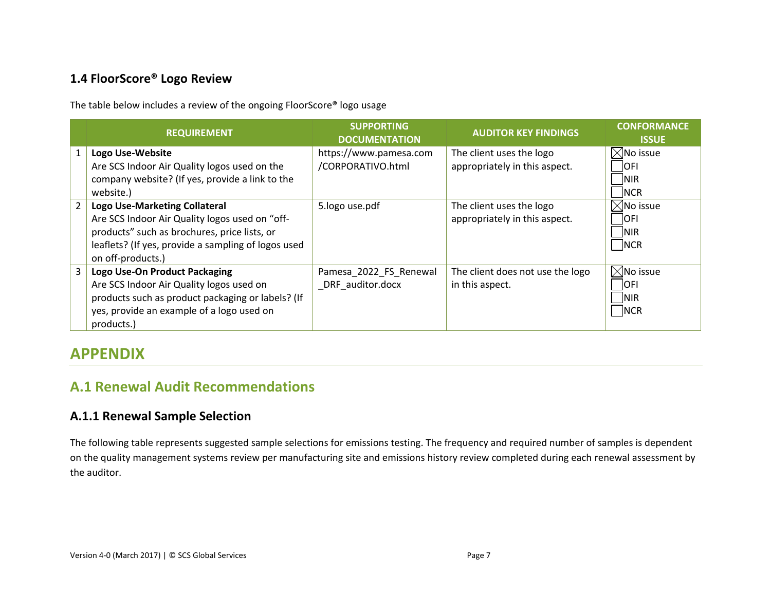#### **1.4 FloorScore® Logo Review**

The table below includes a review of the ongoing FloorScore® logo usage

|                | <b>REQUIREMENT</b>                                                                                                                                                                                                 | <b>SUPPORTING</b><br><b>DOCUMENTATION</b>   | <b>AUDITOR KEY FINDINGS</b>                               | <b>CONFORMANCE</b><br><b>ISSUE</b>                                   |
|----------------|--------------------------------------------------------------------------------------------------------------------------------------------------------------------------------------------------------------------|---------------------------------------------|-----------------------------------------------------------|----------------------------------------------------------------------|
|                | Logo Use-Website<br>Are SCS Indoor Air Quality logos used on the<br>company website? (If yes, provide a link to the<br>website.)                                                                                   | https://www.pamesa.com<br>/CORPORATIVO.html | The client uses the logo<br>appropriately in this aspect. | $\boxtimes$ No issue<br><b>OFI</b><br><b>NIR</b><br>NCR              |
| $\overline{2}$ | <b>Logo Use-Marketing Collateral</b><br>Are SCS Indoor Air Quality logos used on "off-<br>products" such as brochures, price lists, or<br>leaflets? (If yes, provide a sampling of logos used<br>on off-products.) | 5.logo use.pdf                              | The client uses the logo<br>appropriately in this aspect. | $\boxtimes$ No issue<br><b>OFI</b><br>$\overline{\text{NIR}}$<br>NCR |
| 3              | Logo Use-On Product Packaging<br>Are SCS Indoor Air Quality logos used on<br>products such as product packaging or labels? (If<br>yes, provide an example of a logo used on<br>products.)                          | Pamesa_2022_FS_Renewal<br>DRF auditor.docx  | The client does not use the logo<br>in this aspect.       | $\boxtimes$ No issue<br><b>OFI</b><br>$\overline{\text{NIR}}$<br>NCR |

# **APPENDIX**

### **A.1 Renewal Audit Recommendations**

#### **A.1.1 Renewal Sample Selection**

The following table represents suggested sample selections for emissions testing. The frequency and required number of samples is dependent on the quality management systems review per manufacturing site and emissions history review completed during each renewal assessment by the auditor.